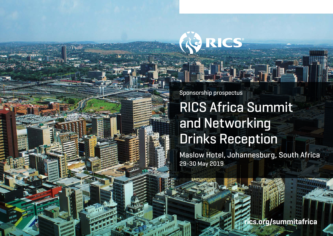Sponsorship prospectus

RICS

# RICS Africa Summit and Networking Drinks Reception

Maslow Hotel, Johannesburg, South Africa 29-30 May 2019

ics org/summitafrica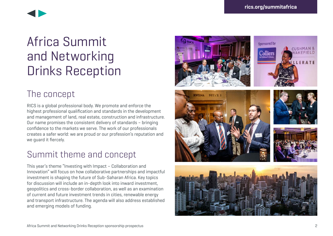

# Africa Summit and Networking Drinks Reception

### The concept

RICS is a global professional body. We promote and enforce the highest professional qualification and standards in the development and management of land, real estate, construction and infrastructure. Our name promises the consistent delivery of standards – bringing confidence to the markets we serve. The work of our professionals creates a safer world: we are proud or our profession's reputation and we guard it fiercely.

## Summit theme and concept

This year's theme "Investing with Impact – Collaboration and Innovation" will focus on how collaborative partnerships and impactful investment is shaping the future of Sub-Saharan Africa. Key topics for discussion will include an in-depth look into inward investment, geopolitics and cross-border collaboration, as well as an examination of current and future investment trends in cities, renewable energy and transport infrastructure. The agenda will also address established and emerging models of funding.









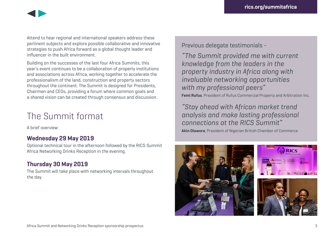

Attend to hear regional and international speakers address these pertinent subjects and explore possible collaborative and innovative strategies to push Africa forward as a global thought leader and influencer in the built environment.

Building on the successes of the last four Africa Summits, this year's event continues to be a collaboration of property institutions and associations across Africa, working together to accelerate the professionalism of the land, construction and property sectors throughout the continent. The Summit is designed for Presidents, Chairmen and CEOs, providing a forum where common goals and a shared vision can be created through consensus and discussion.

### The Summit format

A brief overview:

#### **Wednesday 29 May 2019**

Optional technical tour in the afternoon followed by the RICS Summit Africa Networking Drinks Reception in the evening.

#### **Thursday 30 May 2019**

The Summit will take place with networking intervals throughout the day.

Previous delegate testimonials -

"The Summit provided me with current knowledge from the leaders in the property industry in Africa along with invaluable networking opportunities with my professional peers" **Femi Rufus**, President of Rufus Commercial Property and Arbitration Inc.

"Stay ahead with African market trend analysis and make lasting professional connections at the RICS Summit"

**Akin Olawore**, President of Nigerian British Chamber of Commerce

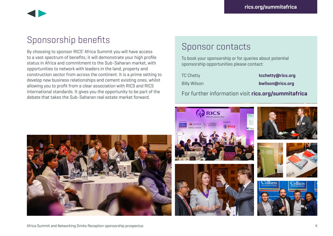

## Sponsorship benefits

By choosing to sponsor RICS' Africa Summit you will have access to a vast spectrum of benefits; it will demonstrate your high profile status in Africa and commitment to the Sub-Saharan market, with opportunities to network with leaders in the land, property and construction sector from across the continent. It is a prime setting to develop new business relationships and cement existing ones, whilst allowing you to profit from a clear association with RICS and RICS international standards. It gives you the opportunity to be part of the debate that takes the Sub-Saharan real estate market forward.

### Sponsor contacts

To book your sponsorship or for queries about potential sponsorship opportunities please contact:

TC Chetty **[tcchetty@rics.org](mailto:tcchetty@rics.org)** Billy Wilson **[bwilson@rics.org](mailto:bwilson@rics.org)** 

For further information visit **[rics.org/](http://rics.org/africa)summitafrica**



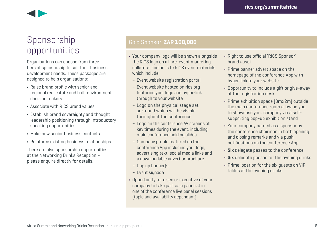

### Sponsorship opportunities

Organisations can choose from three tiers of sponsorship to suit their business development needs. These packages are designed to help organisations:

- **•** Raise brand profile with senior and regional real estate and built environment decision makers
- **•** Associate with RICS brand values
- **•** Establish brand sovereignty and thought leadership positioning through introductory speaking opportunities
- **•** Make new senior business contacts
- **•** Reinforce existing business relationships

There are also sponsorship opportunities at the Networking Drinks Reception – please enquire directly for details.

#### Gold Sponsor **ZAR 100,000**

- **•** Your company logo will be shown alongside the RICS logo on all pre-event marketing collateral and on-site RICS event materials which include;
- Event website registration portal
- Event website hosted on [rics.org](http://rics.org)  featuring your logo and hyper-link through to your website
- Logo on the physical stage set surround which will be visible throughout the conference
- Logo on the conference AV screens at key times during the event, including main conference holding slides
- Company profile featured on the conference App including your logo, advertising text, social media links and a downloadable advert or brochure
- Pop up banner(s)
- Event signage
- **•** Opportunity for a senior executive of your company to take part as a panellist in one of the conference live panel sessions (topic and availability dependant)
- **•** Right to use official 'RICS Sponsor' brand asset
- **•** Prime banner advert space on the homepage of the conference App with hyper-link to your website
- **•** Opportunity to include a gift or give-away at the registration desk
- **•** Prime exhibition space (3mx2m) outside the main conference room allowing you to showcase your company via a selfsupporting pop-up exhibition stand
- **•** Your company named as a sponsor by the conference chairman in both opening and closing remarks and via push notifications on the conference App
- **• Six** delegate passes to the conference
- **• Six** delegate passes for the evening drinks
- **•** Prime location for the six guests on VIP tables at the evening drinks.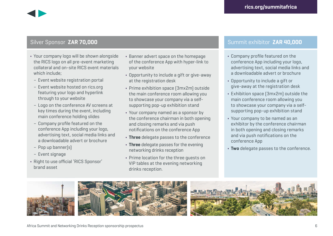#### Silver Sponsor **ZAR 70,000**

- **•** Your company logo will be shown alongside the RICS logo on all pre-event marketing collateral and on-site RICS event materials which include;
- Event website registration portal
- Event website hosted on [rics.org](http://rics.org) featuring your logo and hyperlink through to your website
- Logo on the conference AV screens at key times during the event, including main conference holding slides
- Company profile featured on the conference App including your logo, advertising text, social media links and a downloadable advert or brochure
- Pop up banner(s)
- Event signage
- **•** Right to use official 'RICS Sponsor' brand asset
- **•** Banner advert space on the homepage of the conference App with hyper-link to your website
- **•** Opportunity to include a gift or give-away at the registration desk
- **•** Prime exhibition space (3mx2m) outside the main conference room allowing you to showcase your company via a selfsupporting pop-up exhibition stand
- **•** Your company named as a sponsor by the conference chairman in both opening and closing remarks and via push notifications on the conference App
- **• Three** delegate passes to the conference
- **• Three** delegate passes for the evening networking drinks reception
- **•** Prime location for the three guests on VIP tables at the evening networking drinks reception.

#### Summit exhibitor **ZAR 40,000**

- **•** Company profile featured on the conference App including your logo, advertising text, social media links and a downloadable advert or brochure
- **•** Opportunity to include a gift or give-away at the registration desk
- **•** Exhibition space (3mx2m) outside the main conference room allowing you to showcase your company via a selfsupporting pop-up exhibition stand
- **•** Your company to be named as an exhibitor by the conference chairman in both opening and closing remarks and via push notifications on the conference App
- **• Two** delegate passes to the conference.